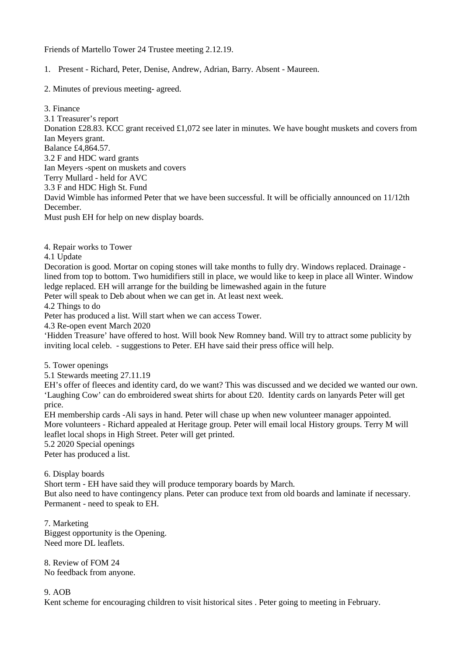## Friends of Martello Tower 24 Trustee meeting 2.12.19.

1. Present - Richard, Peter, Denise, Andrew, Adrian, Barry. Absent - Maureen.

2. Minutes of previous meeting- agreed.

3. Finance 3.1 Treasurer's report Donation £28.83. KCC grant received £1,072 see later in minutes. We have bought muskets and covers from Ian Meyers grant. Balance £4,864.57. 3.2 F and HDC ward grants Ian Meyers -spent on muskets and covers Terry Mullard - held for AVC 3.3 F and HDC High St. Fund David Wimble has informed Peter that we have been successful. It will be officially announced on 11/12th December. Must push EH for help on new display boards.

4. Repair works to Tower

4.1 Update

Decoration is good. Mortar on coping stones will take months to fully dry. Windows replaced. Drainage lined from top to bottom. Two humidifiers still in place, we would like to keep in place all Winter. Window ledge replaced. EH will arrange for the building be limewashed again in the future

Peter will speak to Deb about when we can get in. At least next week.

4.2 Things to do

Peter has produced a list. Will start when we can access Tower.

4.3 Re-open event March 2020

'Hidden Treasure' have offered to host. Will book New Romney band. Will try to attract some publicity by inviting local celeb. - suggestions to Peter. EH have said their press office will help.

5. Tower openings

5.1 Stewards meeting 27.11.19

EH's offer of fleeces and identity card, do we want? This was discussed and we decided we wanted our own. 'Laughing Cow' can do embroidered sweat shirts for about £20. Identity cards on lanyards Peter will get price.

EH membership cards -Ali says in hand. Peter will chase up when new volunteer manager appointed. More volunteers - Richard appealed at Heritage group. Peter will email local History groups. Terry M will leaflet local shops in High Street. Peter will get printed.

5.2 2020 Special openings

Peter has produced a list.

6. Display boards

Short term - EH have said they will produce temporary boards by March.

But also need to have contingency plans. Peter can produce text from old boards and laminate if necessary. Permanent - need to speak to EH.

7. Marketing Biggest opportunity is the Opening. Need more DL leaflets.

8. Review of FOM 24 No feedback from anyone.

9. AOB

Kent scheme for encouraging children to visit historical sites . Peter going to meeting in February.